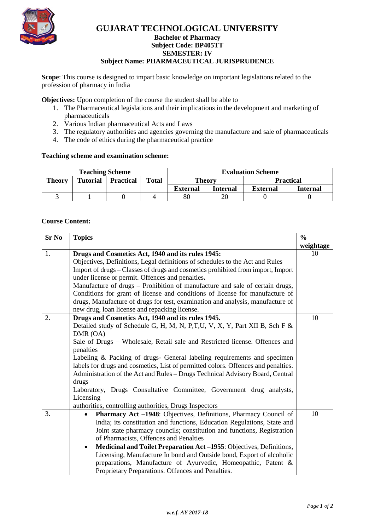

### **GUJARAT TECHNOLOGICAL UNIVERSITY Bachelor of Pharmacy**

## **Subject Code: [BP405TT](javascript:PopupCenter_upload()**

**SEMESTER: IV**

### **Subject Name: PHARMACEUTICAL JURISPRUDENCE**

**Scope**: This course is designed to impart basic knowledge on important legislations related to the profession of pharmacy in India

**Objectives:** Upon completion of the course the student shall be able to

- 1. The Pharmaceutical legislations and their implications in the development and marketing of pharmaceuticals
- 2. Various Indian pharmaceutical Acts and Laws
- 3. The regulatory authorities and agencies governing the manufacture and sale of pharmaceuticals
- 4. The code of ethics during the pharmaceutical practice

#### **Teaching scheme and examination scheme:**

| <b>Teaching Scheme</b> |                 |                  |              | <b>Evaluation Scheme</b> |          |          |                  |
|------------------------|-----------------|------------------|--------------|--------------------------|----------|----------|------------------|
| <b>Theory</b>          | <b>Tutorial</b> | <b>Practical</b> | <b>Total</b> | <b>Theory</b>            |          |          | <b>Practical</b> |
|                        |                 |                  |              | <b>External</b>          | Internal | External | Internal         |
|                        |                 |                  |              | 80                       |          |          |                  |

#### **Course Content:**

| <b>Sr No</b> | <b>Topics</b>                                                                     |           |  |  |
|--------------|-----------------------------------------------------------------------------------|-----------|--|--|
|              |                                                                                   | weightage |  |  |
| 1.           | Drugs and Cosmetics Act, 1940 and its rules 1945:                                 | 10        |  |  |
|              | Objectives, Definitions, Legal definitions of schedules to the Act and Rules      |           |  |  |
|              | Import of drugs - Classes of drugs and cosmetics prohibited from import, Import   |           |  |  |
|              | under license or permit. Offences and penalties.                                  |           |  |  |
|              | Manufacture of drugs - Prohibition of manufacture and sale of certain drugs,      |           |  |  |
|              | Conditions for grant of license and conditions of license for manufacture of      |           |  |  |
|              | drugs, Manufacture of drugs for test, examination and analysis, manufacture of    |           |  |  |
|              | new drug, loan license and repacking license.                                     |           |  |  |
| 2.           | Drugs and Cosmetics Act, 1940 and its rules 1945.                                 | 10        |  |  |
|              | Detailed study of Schedule G, H, M, N, P,T,U, V, X, Y, Part XII B, Sch F &        |           |  |  |
|              | DMR (OA)                                                                          |           |  |  |
|              | Sale of Drugs - Wholesale, Retail sale and Restricted license. Offences and       |           |  |  |
|              | penalties                                                                         |           |  |  |
|              | Labeling & Packing of drugs- General labeling requirements and specimen           |           |  |  |
|              | labels for drugs and cosmetics, List of permitted colors. Offences and penalties. |           |  |  |
|              | Administration of the Act and Rules - Drugs Technical Advisory Board, Central     |           |  |  |
|              | drugs                                                                             |           |  |  |
|              | Laboratory, Drugs Consultative Committee, Government drug analysts,               |           |  |  |
|              | Licensing                                                                         |           |  |  |
|              | authorities, controlling authorities, Drugs Inspectors                            |           |  |  |
| 3.           | Pharmacy Act -1948: Objectives, Definitions, Pharmacy Council of<br>$\bullet$     | 10        |  |  |
|              | India; its constitution and functions, Education Regulations, State and           |           |  |  |
|              | Joint state pharmacy councils; constitution and functions, Registration           |           |  |  |
|              | of Pharmacists, Offences and Penalties                                            |           |  |  |
|              | Medicinal and Toilet Preparation Act-1955: Objectives, Definitions,<br>$\bullet$  |           |  |  |
|              | Licensing, Manufacture In bond and Outside bond, Export of alcoholic              |           |  |  |
|              | preparations, Manufacture of Ayurvedic, Homeopathic, Patent &                     |           |  |  |
|              | Proprietary Preparations. Offences and Penalties.                                 |           |  |  |